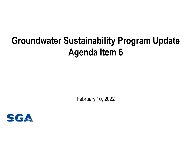## **Groundwater Sustainability Program Update Agenda Item 6**

February 10, 2022

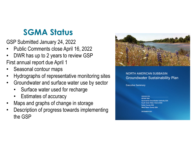## **SGMA Status**

GSP Submitted January 24, 2022

- •Public Comments close April 16, 2022
- • DWR has up to 2 years to review GSP First annual report due April 1
- •Seasonal contour maps
- •Hydrographs of representative monitoring sites
- • Groundwater and surface water use by sector
	- •Surface water used for recharge
	- •Estimates of accuracy
- •Maps and graphs of change in storage
- • Description of progress towards implementing the GSP



## **NORTH AMERICAN SUBBASIN Groundwater Sustainability Plan**

**Executive Summary** 

**REPARED FOR RD1001 GSA** Sacramento Groundwater Authority GSA **South Sutter Water District GSA Sutter County GSA West Placer County GSA** 

**DECEMBER 2021**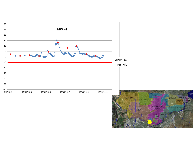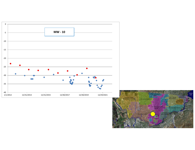

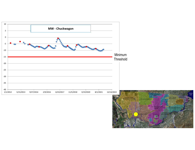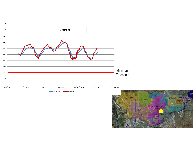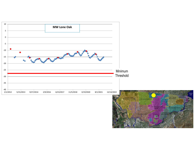